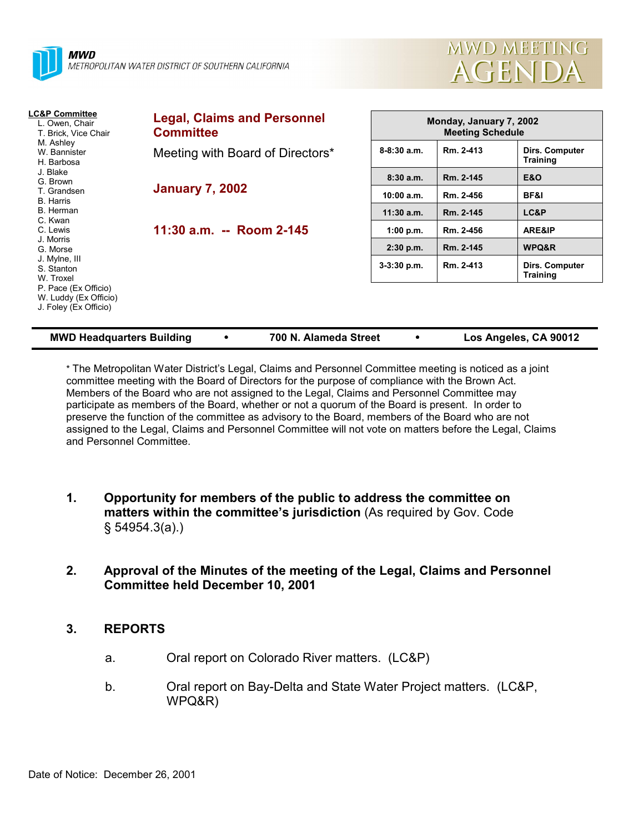



| <b>LC&amp;P Committee</b><br>L. Owen, Chair<br>T. Brick, Vice Chair    | <b>Legal, Claims and Personnel</b><br><b>Committee</b> |                 | Monday, January 7, 2002<br><b>Meeting Schedule</b> |                                   |  |  |
|------------------------------------------------------------------------|--------------------------------------------------------|-----------------|----------------------------------------------------|-----------------------------------|--|--|
| M. Ashley<br>W. Bannister<br>H. Barbosa                                | Meeting with Board of Directors*                       | $8 - 8:30$ a.m. | Rm. 2-413                                          | Dirs. Computer<br><b>Training</b> |  |  |
| J. Blake<br>G. Brown                                                   |                                                        | 8:30a.m.        | Rm. 2-145                                          | <b>E&amp;O</b>                    |  |  |
| T. Grandsen<br><b>B.</b> Harris                                        | <b>January 7, 2002</b>                                 | 10:00 a.m.      | Rm. 2-456                                          | BF&I                              |  |  |
| B. Herman                                                              |                                                        | $11:30$ a.m.    | Rm. 2-145                                          | LC&P                              |  |  |
| C. Kwan<br>C. Lewis<br>J. Morris<br>G. Morse                           | 11:30 a.m. -- Room 2-145                               | 1:00 p.m.       | Rm. 2-456                                          | ARE&IP                            |  |  |
|                                                                        |                                                        | $2:30$ p.m.     | Rm. 2-145                                          | WPQ&R                             |  |  |
| J. Mylne, III<br>S. Stanton<br>W. Troxel                               |                                                        | $3-3:30$ p.m.   | Rm. 2-413                                          | Dirs. Computer<br><b>Training</b> |  |  |
| P. Pace (Ex Officio)<br>W. Luddy (Ex Officio)<br>J. Foley (Ex Officio) |                                                        |                 |                                                    |                                   |  |  |

| <b>MWD Headquarters Building</b> |  | 700 N. Alameda Street |  | Los Angeles, CA 90012 |
|----------------------------------|--|-----------------------|--|-----------------------|
|----------------------------------|--|-----------------------|--|-----------------------|

\* The Metropolitan Water Districtís Legal, Claims and Personnel Committee meeting is noticed as a joint committee meeting with the Board of Directors for the purpose of compliance with the Brown Act. Members of the Board who are not assigned to the Legal, Claims and Personnel Committee may participate as members of the Board, whether or not a quorum of the Board is present. In order to preserve the function of the committee as advisory to the Board, members of the Board who are not assigned to the Legal, Claims and Personnel Committee will not vote on matters before the Legal, Claims and Personnel Committee.

- **1. Opportunity for members of the public to address the committee on matters within the committee's jurisdiction** (As required by Gov. Code ß 54954.3(a).)
- **2. Approval of the Minutes of the meeting of the Legal, Claims and Personnel Committee held December 10, 2001**

### **3. REPORTS**

- a. Oral report on Colorado River matters. (LC&P)
- b. Oral report on Bay-Delta and State Water Project matters. (LC&P, WPQ&R)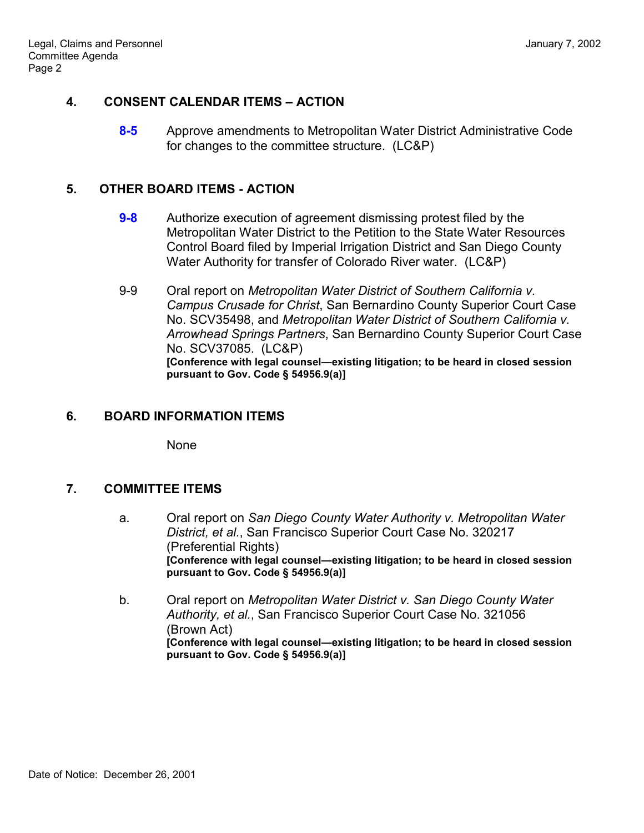# **4. CONSENT CALENDAR ITEMS – ACTION**

**8-5** Approve amendments to Metropolitan Water District Administrative Code for changes to the committee structure. (LC&P)

#### **5. OTHER BOARD ITEMS - ACTION**

- **9-8** Authorize execution of agreement dismissing protest filed by the Metropolitan Water District to the Petition to the State Water Resources Control Board filed by Imperial Irrigation District and San Diego County Water Authority for transfer of Colorado River water. (LC&P)
- 9-9 Oral report on *Metropolitan Water District of Southern California v. Campus Crusade for Christ*, San Bernardino County Superior Court Case No. SCV35498, and *Metropolitan Water District of Southern California v. Arrowhead Springs Partners*, San Bernardino County Superior Court Case No. SCV37085. (LC&P) [Conference with legal counsel—existing litigation; to be heard in closed session **pursuant to Gov. Code ß 54956.9(a)]**

## **6. BOARD INFORMATION ITEMS**

None

### **7. COMMITTEE ITEMS**

- a. Oral report on *San Diego County Water Authority v. Metropolitan Water District, et al.*, San Francisco Superior Court Case No. 320217 (Preferential Rights) **[Conference with legal counsel—existing litigation; to be heard in closed session pursuant to Gov. Code ß 54956.9(a)]**
- b. Oral report on *Metropolitan Water District v. San Diego County Water Authority, et al.*, San Francisco Superior Court Case No. 321056 (Brown Act) [Conference with legal counsel-existing litigation; to be heard in closed session **pursuant to Gov. Code ß 54956.9(a)]**